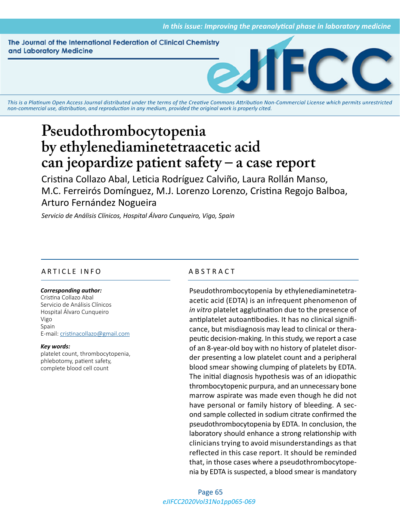The Journal of the International Federation of Clinical Chemistry and Laboratory Medicine



*This is a Platinum Open Access Journal distributed under the terms of the [Creative Commons Attribution Non-Commercial License](https://creativecommons.org/licenses/by-nc/4.0/) which permits unrestricted non-commercial use, distribution, and reproduction in any medium, provided the original work is properly cited.*

# **Pseudothrombocytopenia by ethylenediaminetetraacetic acid can jeopardize patient safety – a case report**

Cristina Collazo Abal, Leticia Rodríguez Calviño, Laura Rollán Manso, M.C. Ferreirós Domínguez, M.J. Lorenzo Lorenzo, Cristina Regojo Balboa, Arturo Fernández Nogueira

*Servicio de Análisis Clínicos, Hospital Álvaro Cunqueiro, Vigo, Spain*

# ARTICLE INFO ABSTRACT

# *Corresponding author:*

Cristina Collazo Abal Servicio de Análisis Clínicos Hospital Álvaro Cunqueiro Vigo Spain E-mail: [cristinacollazo@gmail.com](meilto:cristinacollazo@gmail.com)

### *Key words:*

platelet count, thrombocytopenia, phlebotomy, patient safety, complete blood cell count

Pseudothrombocytopenia by ethylenediaminetetraacetic acid (EDTA) is an infrequent phenomenon of *in vitro* platelet agglutination due to the presence of antiplatelet autoantibodies. It has no clinical significance, but misdiagnosis may lead to clinical or therapeutic decision-making. In this study, we report a case of an 8-year-old boy with no history of platelet disorder presenting a low platelet count and a peripheral blood smear showing clumping of platelets by EDTA. The initial diagnosis hypothesis was of an idiopathic thrombocytopenic purpura, and an unnecessary bone marrow aspirate was made even though he did not have personal or family history of bleeding. A second sample collected in sodium citrate confirmed the pseudothrombocytopenia by EDTA. In conclusion, the laboratory should enhance a strong relationship with clinicians trying to avoid misunderstandings as that reflected in this case report. It should be reminded that, in those cases where a pseudothrombocytopenia by EDTA is suspected, a blood smear is mandatory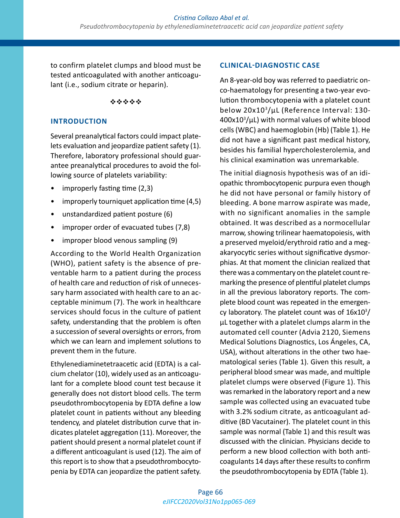to confirm platelet clumps and blood must be tested anticoagulated with another anticoagulant (i.e., sodium citrate or heparin).

# \*\*\*\*\*

# **INTRODUCTION**

Several preanalytical factors could impact platelets evaluation and jeopardize patient safety (1). Therefore, laboratory professional should guarantee preanalytical procedures to avoid the following source of platelets variability:

- improperly fasting time (2,3)
- improperly tourniquet application time (4,5)
- unstandardized patient posture (6)
- improper order of evacuated tubes (7,8)
- improper blood venous sampling (9)

According to the World Health Organization (WHO), patient safety is the absence of preventable harm to a patient during the process of health care and reduction of risk of unnecessary harm associated with health care to an acceptable minimum (7). The work in healthcare services should focus in the culture of patient safety, understanding that the problem is often a succession of several oversights or errors, from which we can learn and implement solutions to prevent them in the future.

Ethylenediaminetetraacetic acid (EDTA) is a calcium chelator (10), widely used as an anticoagulant for a complete blood count test because it generally does not distort blood cells. The term pseudothrombocytopenia by EDTA define a low platelet count in patients without any bleeding tendency, and platelet distribution curve that indicates platelet aggregation (11). Moreover, the patient should present a normal platelet count if a different anticoagulant is used (12). The aim of this report is to show that a pseudothrombocytopenia by EDTA can jeopardize the patient safety.

# **CLINICAL-DIAGNOSTIC CASE**

An 8-year-old boy was referred to paediatric onco-haematology for presenting a two-year evolution thrombocytopenia with a platelet count below 20x103 /µL (Reference Interval: 130- $400x10<sup>3</sup>/\mu$ L) with normal values of white blood cells (WBC) and haemoglobin (Hb) (Table 1). He did not have a significant past medical history, besides his familial hypercholesterolemia, and his clinical examination was unremarkable.

The initial diagnosis hypothesis was of an idiopathic thrombocytopenic purpura even though he did not have personal or family history of bleeding. A bone marrow aspirate was made, with no significant anomalies in the sample obtained. It was described as a normocellular marrow, showing trilinear haematopoiesis, with a preserved myeloid/erythroid ratio and a megakaryocytic series without significative dysmorphias. At that moment the clinician realized that there was a commentary on the platelet count remarking the presence of plentiful platelet clumps in all the previous laboratory reports. The complete blood count was repeated in the emergency laboratory. The platelet count was of  $16x10<sup>3</sup>/$ µL together with a platelet clumps alarm in the automated cell counter (Advia 2120, Siemens Medical Solutions Diagnostics, Los Ángeles, CA, USA), without alterations in the other two haematological series (Table 1). Given this result, a peripheral blood smear was made, and multiple platelet clumps were observed (Figure 1). This was remarked in the laboratory report and a new sample was collected using an evacuated tube with 3.2% sodium citrate, as anticoagulant additive (BD Vacutainer). The platelet count in this sample was normal (Table 1) and this result was discussed with the clinician. Physicians decide to perform a new blood collection with both anticoagulants 14 days after these results to confirm the pseudothrombocytopenia by EDTA (Table 1).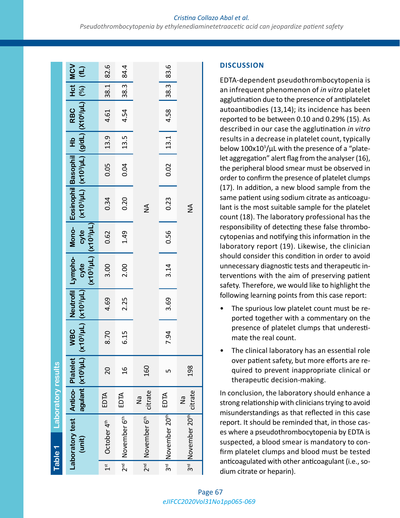|                  | Table 1                                        | Laboratory results |                                |      |      |                                                        |      |                                                                                                                           |                          |        |      |                                             |              |
|------------------|------------------------------------------------|--------------------|--------------------------------|------|------|--------------------------------------------------------|------|---------------------------------------------------------------------------------------------------------------------------|--------------------------|--------|------|---------------------------------------------|--------------|
|                  | Laboratory test   Antico-   Platelet<br>(unit) |                    | agulant (x10 <sup>3</sup> /µL) |      |      | (X103/µL) (X103/µL)<br>politic (711/80 kV) (711/80 kV) |      | WBC Neutrofil Lympho- Mono- Eosinophil Basophil Hb   RBC   Hct MCV<br>  (%)    (7h/%DLX)    (7h/%DLX)    (7h/%DLX)    940 |                          |        |      |                                             | $\vert$ (fL) |
| $\frac{3\pi}{4}$ | October 4 <sup>th</sup>                        | EDTA               | 20                             | 8.70 | 4.69 | 3.00                                                   | 0.62 | 0.34                                                                                                                      | 0.05                     | $13.9$ | 4.61 | 38.1                                        | 82.6         |
|                  | 2 <sup>nd</sup> November 6 <sup>th</sup>       | EDTA               | $\frac{6}{1}$                  | 6.15 | 2.25 | 2.00                                                   | 1.49 | 0.20                                                                                                                      | 0.04                     | 13.5   | 4.54 | $\begin{array}{c} 38.3 \\ 38.3 \end{array}$ | 84.4         |
|                  | 2 <sup>nd</sup> November 6 <sup>th</sup>       | citrate<br>δ<br>Μ  | 160                            |      |      |                                                        |      | $\frac{4}{2}$                                                                                                             |                          |        |      |                                             |              |
|                  | 3rd November 20th                              | EDTA               | ഥ                              | 7.94 | 3.69 | 3.14                                                   | 0.56 | 0.23                                                                                                                      | $\overline{\phantom{0}}$ | $13.1$ | 4.58 | 38.3                                        | 83.6         |
|                  | 3rd November 20th                              | citrate<br>Θ<br>Σ  | 198                            |      |      |                                                        |      | $\frac{4}{2}$                                                                                                             |                          |        |      |                                             |              |

# **DISCUSSION**

EDTA-dependent pseudothrombocytopenia is an infrequent phenomenon of *in vitro* platelet agglutination due to the presence of antiplatelet autoantibodies (13,14); its incidence has been reported to be between 0.10 and 0.29% (15). As described in our case the agglutination *in vitro* results in a decrease in platelet count, typically below 100x10<sup>3</sup>/µL with the presence of a "platelet aggregation" alert flag from the analyser (16), the peripheral blood smear must be observed in order to confirm the presence of platelet clumps (17). In addition, a new blood sample from the same patient using sodium citrate as anticoagulant is the most suitable sample for the platelet count (18). The laboratory professional has the responsibility of detecting these false thrombocytopenias and notifying this information in the laboratory report (19). Likewise, the clinician should consider this condition in order to avoid unnecessary diagnostic tests and therapeutic interventions with the aim of preserving patient safety. Therefore, we would like to highlight the following learning points from this case report:

- The spurious low platelet count must be reported together with a commentary on the presence of platelet clumps that underestimate the real count.
- The clinical laboratory has an essential role over patient safety, but more efforts are required to prevent inappropriate clinical or therapeutic decision-making.

In conclusion, the laboratory should enhance a strong relationship with clinicians trying to avoid misunderstandings as that reflected in this case report. It should be reminded that, in those cases where a pseudothrombocytopenia by EDTA is suspected, a blood smear is mandatory to confirm platelet clumps and blood must be tested anticoagulated with other anticoagulant (i.e., sodium citrate or heparin).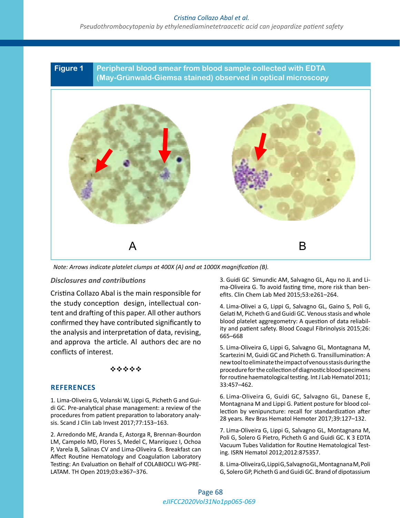# *Cristina Collazo Abal et al.*

*Pseudothrombocytopenia by ethylenediaminetetraacetic acid can jeopardize patient safety*

**Figure 1 Peripheral blood smear from blood sample collected with EDTA (May-Grünwald-Giemsa stained) observed in optical microscopy**



*Note: Arrows indicate platelet clumps at 400X (A) and at 1000X magnification (B).*

# *Disclosures and contributions*

Cristina Collazo Abal is the main responsible for the study conception design, intellectual content and drafting of this paper. All other authors confirmed they have contributed significantly to the analysis and interpretation of data, revising, and approva the article. Al authors dec are no  $\frac{603-608}{5 \text{ km s}}$ conflicts of interest.

# \*\*\*\*\*

# **REFERENCES**

1. Lima-Oliveira G, Volanski W, Lippi G, Picheth G and Guidi GC. Pre-analytical phase management: a review of the procedures from patient preparation to laboratory analysis. Scand J Clin Lab Invest 2017;77:153–163.

2. Arredondo ME, Aranda E, Astorga R, Brennan-Bourdon LM, Campelo MD, Flores S, Medel C, Manríquez I, Ochoa P, Varela B, Salinas CV and Lima-Oliveira G. Breakfast can Affect Routine Hematology and Coagulation Laboratory Testing: An Evaluation on Behalf of COLABIOCLI WG-PRE-LATAM. TH Open 2019;03:e367–376.

Disclosures and contributions and contributions and the state of the Simundic AM, Salvagno GL, Aqu no JL and Li<br>
and Climing C. To qualification time were sightly been been ma-Oliveira G. To avoid fasting time, more risk than benefits. Clin Chem Lab Med 2015;53:e261–264.

> eption design, intellectual con-<br>g of this paper. All other authors and Calati A Disbath Gead Guidi CG Veneus stained whole Gelati M, Picheth G and Guidi GC. Venous stasis and whole blood platelet aggregometry: A question of data reliability and patient safety. Blood Coagul Fibrinolysis 2015;26: 665–668

> > 5. Lima-Oliveira G, Lippi G, Salvagno GL, Montagnana M, Scartezini M, Guidi GC and Picheth G. Transillumination: A new tool to eliminate the impact of venous stasis during the procedure for the collection of diagnostic blood specimens for routine haematological testing. Int J Lab Hematol 2011; 33:457–462.

> > 6. Lima-Oliveira G, Guidi GC, Salvagno GL, Danese E, Montagnana M and Lippi G. Patient posture for blood collection by venipuncture: recall for standardization after 28 years. Rev Bras Hematol Hemoter 2017;39:127–132.

> > 7. Lima-Oliveira G, Lippi G, Salvagno GL, Montagnana M, Poli G, Solero G Pietro, Picheth G and Guidi GC. K 3 EDTA Vacuum Tubes Validation for Routine Hematological Testing. ISRN Hematol 2012;2012:875357.

> > 8. Lima-Oliveira G, Lippi G, Salvagno GL, Montagnana M, Poli G, Solero GP, Picheth G and Guidi GC. Brand of dipotassium